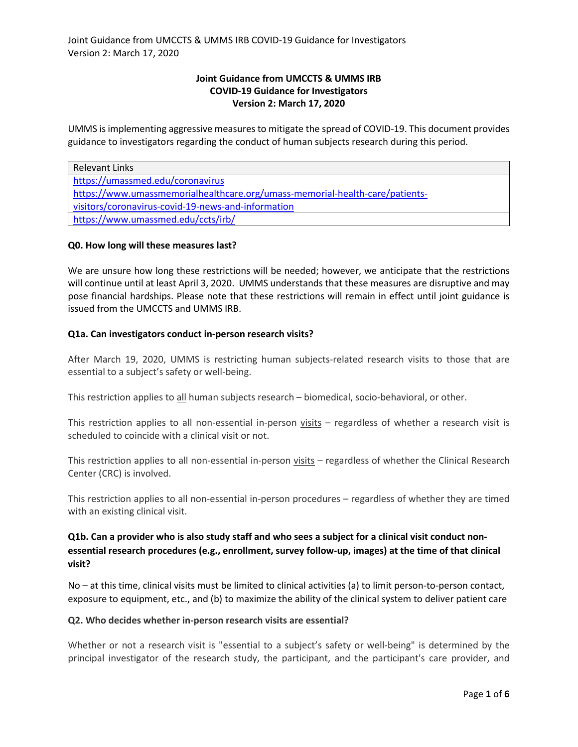# **Joint Guidance from UMCCTS & UMMS IRB COVID-19 Guidance for Investigators Version 2: March 17, 2020**

UMMS is implementing aggressive measures to mitigate the spread of COVID-19. This document provides guidance to investigators regarding the conduct of human subjects research during this period.

| <b>Relevant Links</b>                                                        |  |
|------------------------------------------------------------------------------|--|
| https://umassmed.edu/coronavirus                                             |  |
| https://www.umassmemorialhealthcare.org/umass-memorial-health-care/patients- |  |
| visitors/coronavirus-covid-19-news-and-information                           |  |
| https://www.umassmed.edu/ccts/irb/                                           |  |

# **Q0. How long will these measures last?**

We are unsure how long these restrictions will be needed; however, we anticipate that the restrictions will continue until at least April 3, 2020. UMMS understands that these measures are disruptive and may pose financial hardships. Please note that these restrictions will remain in effect until joint guidance is issued from the UMCCTS and UMMS IRB.

# **Q1a. Can investigators conduct in-person research visits?**

After March 19, 2020, UMMS is restricting human subjects-related research visits to those that are essential to a subject's safety or well-being.

This restriction applies to all human subjects research – biomedical, socio-behavioral, or other.

This restriction applies to all non-essential in-person visits – regardless of whether a research visit is scheduled to coincide with a clinical visit or not.

This restriction applies to all non-essential in-person visits - regardless of whether the Clinical Research Center (CRC) is involved.

This restriction applies to all non-essential in-person procedures – regardless of whether they are timed with an existing clinical visit.

# **Q1b. Can a provider who is also study staff and who sees a subject for a clinical visit conduct nonessential research procedures (e.g., enrollment, survey follow-up, images) at the time of that clinical visit?**

No – at this time, clinical visits must be limited to clinical activities (a) to limit person-to-person contact, exposure to equipment, etc., and (b) to maximize the ability of the clinical system to deliver patient care

# **Q2. Who decides whether in-person research visits are essential?**

Whether or not a research visit is "essential to a subject's safety or well-being" is determined by the principal investigator of the research study, the participant, and the participant's care provider, and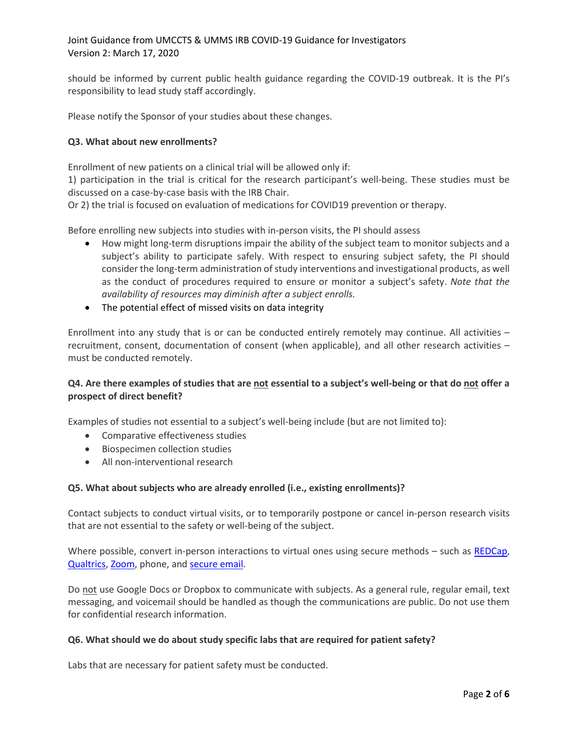should be informed by current public health guidance regarding the COVID-19 outbreak. It is the PI's responsibility to lead study staff accordingly.

Please notify the Sponsor of your studies about these changes.

### **Q3. What about new enrollments?**

Enrollment of new patients on a clinical trial will be allowed only if:

1) participation in the trial is critical for the research participant's well-being. These studies must be discussed on a case-by-case basis with the IRB Chair.

Or 2) the trial is focused on evaluation of medications for COVID19 prevention or therapy.

Before enrolling new subjects into studies with in-person visits, the PI should assess

- How might long-term disruptions impair the ability of the subject team to monitor subjects and a subject's ability to participate safely. With respect to ensuring subject safety, the PI should consider the long-term administration of study interventions and investigational products, as well as the conduct of procedures required to ensure or monitor a subject's safety. *Note that the availability of resources may diminish after a subject enrolls.*
- The potential effect of missed visits on data integrity

Enrollment into any study that is or can be conducted entirely remotely may continue. All activities – recruitment, consent, documentation of consent (when applicable), and all other research activities – must be conducted remotely.

# **Q4. Are there examples of studies that are not essential to a subject's well-being or that do not offer a prospect of direct benefit?**

Examples of studies not essential to a subject's well-being include (but are not limited to):

- Comparative effectiveness studies
- Biospecimen collection studies
- All non-interventional research

# **Q5. What about subjects who are already enrolled (i.e., existing enrollments)?**

Contact subjects to conduct virtual visits, or to temporarily postpone or cancel in-person research visits that are not essential to the safety or well-being of the subject.

Where possible, convert in-person interactions to virtual ones using secure methods – such as [REDCap,](https://www.umassmed.edu/it/services/research-technology/services/basic-research-solutions/redcap/) [Qualtrics, Zoom,](https://www.umassmed.edu/it/services/productivity-tools-and-services/) phone, and [secure email.](https://www.umassmed.edu/it/services/productivity-tools-and-services/)

Do not use Google Docs or Dropbox to communicate with subjects. As a general rule, regular email, text messaging, and voicemail should be handled as though the communications are public. Do not use them for confidential research information.

#### **Q6. What should we do about study specific labs that are required for patient safety?**

Labs that are necessary for patient safety must be conducted.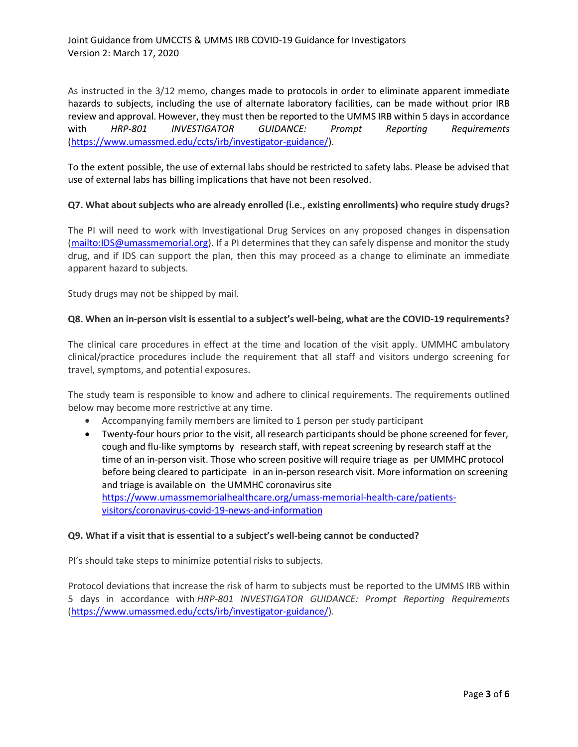As instructed in the 3/12 memo, changes made to protocols in order to eliminate apparent immediate hazards to subjects, including the use of alternate laboratory facilities, can be made without prior IRB review and approval. However, they must then be reported to the UMMS IRB within 5 days in accordance with *HRP-801 INVESTIGATOR GUIDANCE: Prompt Reporting Requirements* [\(https://www.umassmed.edu/ccts/irb/investigator-guidance/\)](https://www.umassmed.edu/ccts/irb/investigator-guidance/).

To the extent possible, the use of external labs should be restricted to safety labs. Please be advised that use of external labs has billing implications that have not been resolved.

# **Q7. What about subjects who are already enrolled (i.e., existing enrollments) who require study drugs?**

The PI will need to work with Investigational Drug Services on any proposed changes in dispensation [\(mailto:IDS@umassmemorial.org\)](mailto:IDS@umassmemorial.org). If a PI determines that they can safely dispense and monitor the study drug, and if IDS can support the plan, then this may proceed as a change to eliminate an immediate apparent hazard to subjects.

Study drugs may not be shipped by mail.

### **Q8. When an in-person visit is essential to a subject's well-being, what are the COVID-19 requirements?**

The clinical care procedures in effect at the time and location of the visit apply. UMMHC ambulatory clinical/practice procedures include the requirement that all staff and visitors undergo screening for travel, symptoms, and potential exposures.

The study team is responsible to know and adhere to clinical requirements. The requirements outlined below may become more restrictive at any time.

- Accompanying family members are limited to 1 person per study participant
- Twenty-four hours prior to the visit, all research participants should be phone screened for fever, cough and flu-like symptoms by research staff, with repeat screening by research staff at the time of an in-person visit. Those who screen positive will require triage as per UMMHC protocol before being cleared to participate in an in-person research visit. More information on screening and triage is available on the UMMHC coronavirus site [https://www.umassmemorialhealthcare.org/umass-memorial-health-care/patients](https://www.umassmemorialhealthcare.org/umass-memorial-health-care/patients-visitors/coronavirus-covid-19-news-and-information)[visitors/coronavirus-covid-19-news-and-information](https://www.umassmemorialhealthcare.org/umass-memorial-health-care/patients-visitors/coronavirus-covid-19-news-and-information)

#### **Q9. What if a visit that is essential to a subject's well-being cannot be conducted?**

PI's should take steps to minimize potential risks to subjects.

Protocol deviations that increase the risk of harm to subjects must be reported to the UMMS IRB within 5 days in accordance with *HRP-801 INVESTIGATOR GUIDANCE: Prompt Reporting Requirements* [\(https://www.umassmed.edu/ccts/irb/investigator-guidance/\)](https://www.umassmed.edu/ccts/irb/investigator-guidance/).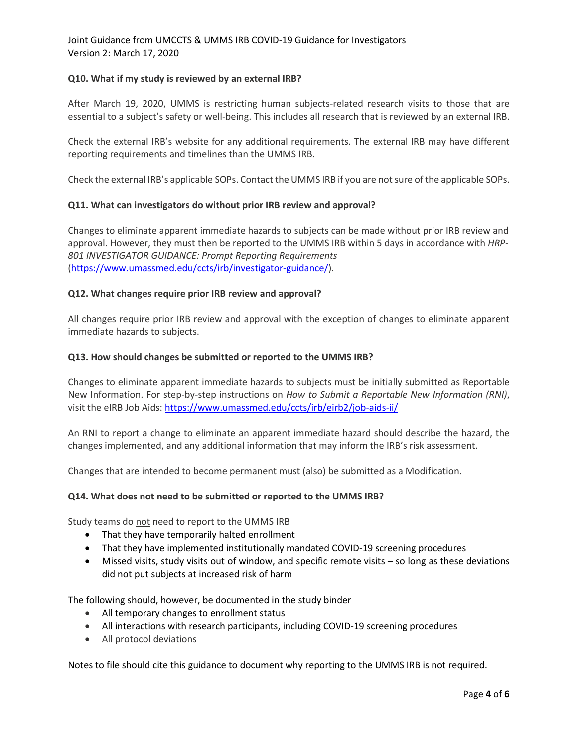Joint Guidance from UMCCTS & UMMS IRB COVID-19 Guidance for Investigators Version 2: March 17, 2020

### **Q10. What if my study is reviewed by an external IRB?**

After March 19, 2020, UMMS is restricting human subjects-related research visits to those that are essential to a subject's safety or well-being. This includes all research that is reviewed by an external IRB.

Check the external IRB's website for any additional requirements. The external IRB may have different reporting requirements and timelines than the UMMS IRB.

Check the external IRB's applicable SOPs. Contact the UMMS IRB if you are not sure of the applicable SOPs.

### **Q11. What can investigators do without prior IRB review and approval?**

Changes to eliminate apparent immediate hazards to subjects can be made without prior IRB review and approval. However, they must then be reported to the UMMS IRB within 5 days in accordance with *HRP-801 INVESTIGATOR GUIDANCE: Prompt Reporting Requirements* [\(https://www.umassmed.edu/ccts/irb/investigator-guidance/\)](https://www.umassmed.edu/ccts/irb/investigator-guidance/).

### **Q12. What changes require prior IRB review and approval?**

All changes require prior IRB review and approval with the exception of changes to eliminate apparent immediate hazards to subjects.

#### **Q13. How should changes be submitted or reported to the UMMS IRB?**

Changes to eliminate apparent immediate hazards to subjects must be initially submitted as Reportable New Information. For step-by-step instructions on *How to Submit a Reportable New Information (RNI)*, visit the eIRB Job Aids[: https://www.umassmed.edu/ccts/irb/eirb2/job-aids-ii/](https://www.umassmed.edu/ccts/irb/eirb2/job-aids-ii/)

An RNI to report a change to eliminate an apparent immediate hazard should describe the hazard, the changes implemented, and any additional information that may inform the IRB's risk assessment.

Changes that are intended to become permanent must (also) be submitted as a Modification.

#### **Q14. What does not need to be submitted or reported to the UMMS IRB?**

Study teams do not need to report to the UMMS IRB

- That they have temporarily halted enrollment
- That they have implemented institutionally mandated COVID-19 screening procedures
- Missed visits, study visits out of window, and specific remote visits so long as these deviations did not put subjects at increased risk of harm

The following should, however, be documented in the study binder

- All temporary changes to enrollment status
- All interactions with research participants, including COVID-19 screening procedures
- All protocol deviations

Notes to file should cite this guidance to document why reporting to the UMMS IRB is not required.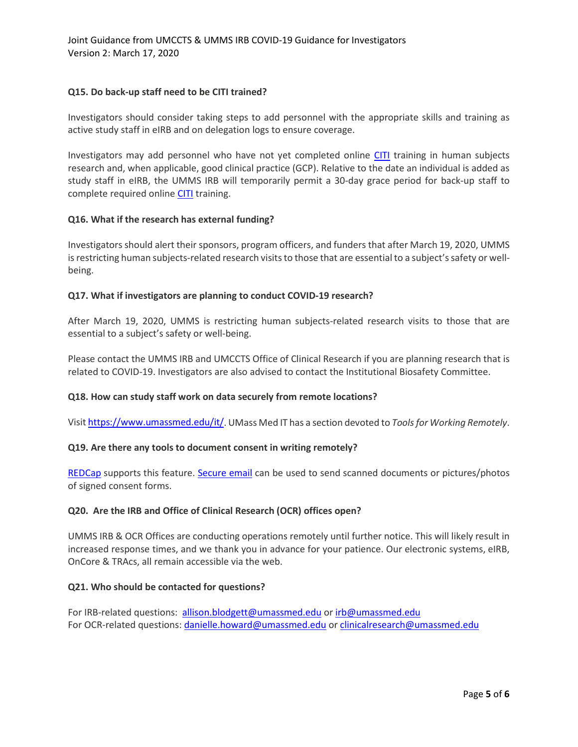# **Q15. Do back-up staff need to be CITI trained?**

Investigators should consider taking steps to add personnel with the appropriate skills and training as active study staff in eIRB and on delegation logs to ensure coverage.

Investigators may add personnel who have not yet completed online [CITI](https://www.umassmed.edu/ccts/irb/CITI-GCP/) training in human subjects research and, when applicable, good clinical practice (GCP). Relative to the date an individual is added as study staff in eIRB, the UMMS IRB will temporarily permit a 30-day grace period for back-up staff to complete required online [CITI](https://www.umassmed.edu/ccts/irb/CITI-GCP/) training.

### **Q16. What if the research has external funding?**

Investigators should alert their sponsors, program officers, and funders that after March 19, 2020, UMMS is restricting human subjects-related research visits to those that are essential to a subject's safety or wellbeing.

### **Q17. What if investigators are planning to conduct COVID-19 research?**

After March 19, 2020, UMMS is restricting human subjects-related research visits to those that are essential to a subject's safety or well-being.

Please contact the UMMS IRB and UMCCTS Office of Clinical Research if you are planning research that is related to COVID-19. Investigators are also advised to contact the Institutional Biosafety Committee.

# **Q18. How can study staff work on data securely from remote locations?**

Visi[t https://www.umassmed.edu/it/.](https://www.umassmed.edu/it/) UMass Med IT has a section devoted to *Tools for Working Remotely*.

#### **Q19. Are there any tools to document consent in writing remotely?**

[REDCap](https://www.umassmed.edu/it/services/research-technology/services/clinical-research-solutions/redcap/) supports this feature. [Secure email](https://www.umassmed.edu/it/security/send-secure-email-with-msome/) can be used to send scanned documents or pictures/photos of signed consent forms.

# **Q20. Are the IRB and Office of Clinical Research (OCR) offices open?**

UMMS IRB & OCR Offices are conducting operations remotely until further notice. This will likely result in increased response times, and we thank you in advance for your patience. Our electronic systems, eIRB, OnCore & TRAcs, all remain accessible via the web.

#### **Q21. Who should be contacted for questions?**

For IRB-related questions: [allison.blodgett@umassmed.edu](about:blank) or [irb@umassmed.edu](about:blank) For OCR-related questions: [danielle.howard@umassmed.edu](about:blank) or [clinicalresearch@umassmed.edu](about:blank)